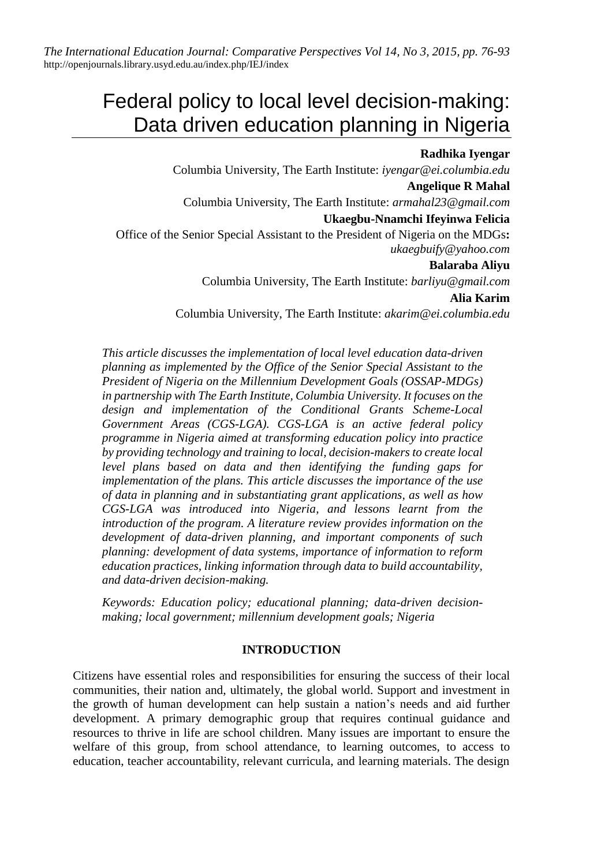*The International Education Journal: Comparative Perspectives Vol 14, No 3, 2015, pp. 76-93* <http://openjournals.library.usyd.edu.au/index.php/IEJ/index>

# Federal policy to local level decision-making: Data driven education planning in Nigeria

#### **Radhika Iyengar**

Columbia University, The Earth Institute: *[iyengar@ei.columbia.edu](mailto:iyengar@ei.columbia.edu)* **Angelique R Mahal** Columbia University, The Earth Institute: *armahal23@gmail.com* **Ukaegbu-Nnamchi Ifeyinwa Felicia** Office of the Senior Special Assistant to the President of Nigeria on the MDGs**:**  *ukaegbuify@yahoo.com* **Balaraba Aliyu** Columbia University, The Earth Institute: *[barliyu@gmail.com](mailto:barliyu@gmail.com)* **Alia Karim** Columbia University, The Earth Institute: *akarim@ei.columbia.edu*

*This article discusses the implementation of local level education data-driven planning as implemented by the Office of the Senior Special Assistant to the President of Nigeria on the Millennium Development Goals (OSSAP-MDGs) in partnership with The Earth Institute, Columbia University. It focuses on the design and implementation of the Conditional Grants Scheme-Local Government Areas (CGS-LGA). CGS-LGA is an active federal policy programme in Nigeria aimed at transforming education policy into practice by providing technology and training to local, decision-makers to create local level plans based on data and then identifying the funding gaps for implementation of the plans. This article discusses the importance of the use of data in planning and in substantiating grant applications, as well as how CGS-LGA was introduced into Nigeria, and lessons learnt from the introduction of the program. A literature review provides information on the development of data-driven planning, and important components of such planning: development of data systems, importance of information to reform education practices, linking information through data to build accountability, and data-driven decision-making.*

*Keywords: Education policy; educational planning; data-driven decisionmaking; local government; millennium development goals; Nigeria*

#### **INTRODUCTION**

Citizens have essential roles and responsibilities for ensuring the success of their local communities, their nation and, ultimately, the global world. Support and investment in the growth of human development can help sustain a nation's needs and aid further development. A primary demographic group that requires continual guidance and resources to thrive in life are school children. Many issues are important to ensure the welfare of this group, from school attendance, to learning outcomes, to access to education, teacher accountability, relevant curricula, and learning materials. The design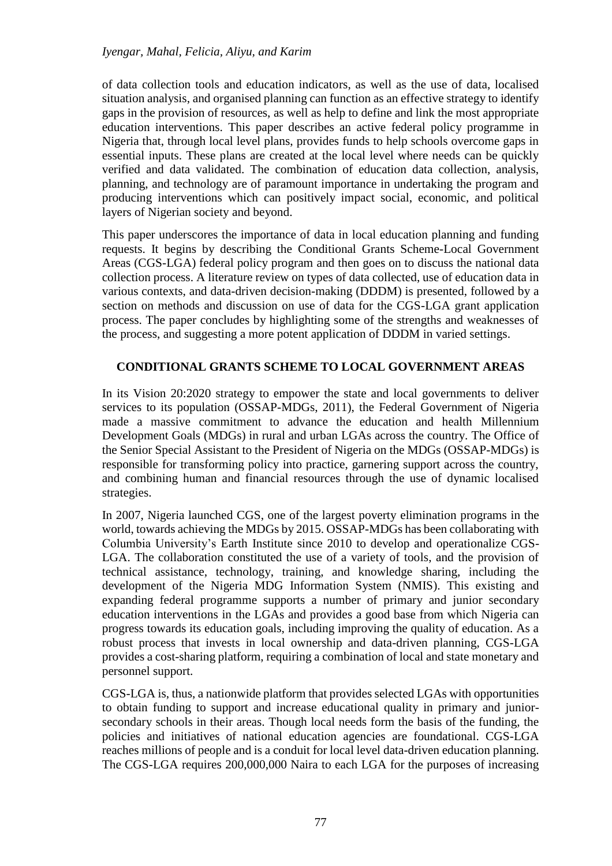of data collection tools and education indicators, as well as the use of data, localised situation analysis, and organised planning can function as an effective strategy to identify gaps in the provision of resources, as well as help to define and link the most appropriate education interventions. This paper describes an active federal policy programme in Nigeria that, through local level plans, provides funds to help schools overcome gaps in essential inputs. These plans are created at the local level where needs can be quickly verified and data validated. The combination of education data collection, analysis, planning, and technology are of paramount importance in undertaking the program and producing interventions which can positively impact social, economic, and political layers of Nigerian society and beyond.

This paper underscores the importance of data in local education planning and funding requests. It begins by describing the Conditional Grants Scheme-Local Government Areas (CGS-LGA) federal policy program and then goes on to discuss the national data collection process. A literature review on types of data collected, use of education data in various contexts, and data-driven decision-making (DDDM) is presented, followed by a section on methods and discussion on use of data for the CGS-LGA grant application process. The paper concludes by highlighting some of the strengths and weaknesses of the process, and suggesting a more potent application of DDDM in varied settings.

# **CONDITIONAL GRANTS SCHEME TO LOCAL GOVERNMENT AREAS**

In its Vision 20:2020 strategy to empower the state and local governments to deliver services to its population (OSSAP-MDGs, 2011), the Federal Government of Nigeria made a massive commitment to advance the education and health Millennium Development Goals (MDGs) in rural and urban LGAs across the country. The Office of the Senior Special Assistant to the President of Nigeria on the MDGs (OSSAP-MDGs) is responsible for transforming policy into practice, garnering support across the country, and combining human and financial resources through the use of dynamic localised strategies.

In 2007, Nigeria launched CGS, one of the largest poverty elimination programs in the world, towards achieving the MDGs by 2015. OSSAP-MDGs has been collaborating with Columbia University's Earth Institute since 2010 to develop and operationalize CGS-LGA. The collaboration constituted the use of a variety of tools, and the provision of technical assistance, technology, training, and knowledge sharing, including the development of the Nigeria MDG Information System (NMIS). This existing and expanding federal programme supports a number of primary and junior secondary education interventions in the LGAs and provides a good base from which Nigeria can progress towards its education goals, including improving the quality of education. As a robust process that invests in local ownership and data-driven planning, CGS-LGA provides a cost-sharing platform, requiring a combination of local and state monetary and personnel support.

CGS-LGA is, thus, a nationwide platform that provides selected LGAs with opportunities to obtain funding to support and increase educational quality in primary and juniorsecondary schools in their areas. Though local needs form the basis of the funding, the policies and initiatives of national education agencies are foundational. CGS-LGA reaches millions of people and is a conduit for local level data-driven education planning. The CGS-LGA requires 200,000,000 Naira to each LGA for the purposes of increasing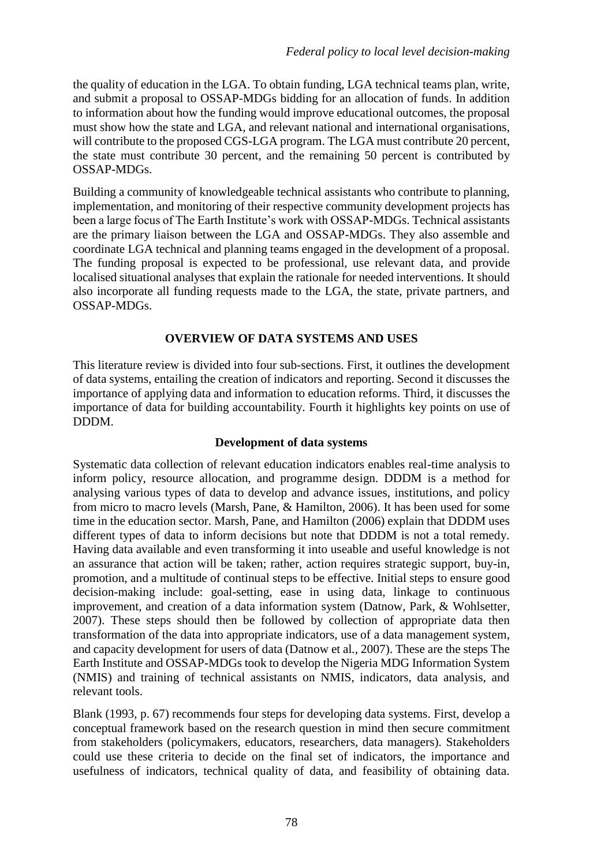the quality of education in the LGA. To obtain funding, LGA technical teams plan, write, and submit a proposal to OSSAP-MDGs bidding for an allocation of funds. In addition to information about how the funding would improve educational outcomes, the proposal must show how the state and LGA, and relevant national and international organisations, will contribute to the proposed CGS-LGA program. The LGA must contribute 20 percent, the state must contribute 30 percent, and the remaining 50 percent is contributed by OSSAP-MDGs.

Building a community of knowledgeable technical assistants who contribute to planning, implementation, and monitoring of their respective community development projects has been a large focus of The Earth Institute's work with OSSAP-MDGs. Technical assistants are the primary liaison between the LGA and OSSAP-MDGs. They also assemble and coordinate LGA technical and planning teams engaged in the development of a proposal. The funding proposal is expected to be professional, use relevant data, and provide localised situational analyses that explain the rationale for needed interventions. It should also incorporate all funding requests made to the LGA, the state, private partners, and OSSAP-MDGs.

# **OVERVIEW OF DATA SYSTEMS AND USES**

This literature review is divided into four sub-sections. First, it outlines the development of data systems, entailing the creation of indicators and reporting. Second it discusses the importance of applying data and information to education reforms. Third, it discusses the importance of data for building accountability. Fourth it highlights key points on use of DDDM.

# **Development of data systems**

Systematic data collection of relevant education indicators enables real-time analysis to inform policy, resource allocation, and programme design. DDDM is a method for analysing various types of data to develop and advance issues, institutions, and policy from micro to macro levels (Marsh, Pane, & Hamilton, 2006). It has been used for some time in the education sector. Marsh, Pane, and Hamilton (2006) explain that DDDM uses different types of data to inform decisions but note that DDDM is not a total remedy. Having data available and even transforming it into useable and useful knowledge is not an assurance that action will be taken; rather, action requires strategic support, buy-in, promotion, and a multitude of continual steps to be effective. Initial steps to ensure good decision-making include: goal-setting, ease in using data, linkage to continuous improvement, and creation of a data information system (Datnow, Park, & Wohlsetter*,*  2007). These steps should then be followed by collection of appropriate data then transformation of the data into appropriate indicators, use of a data management system, and capacity development for users of data (Datnow et al*.,* 2007). These are the steps The Earth Institute and OSSAP-MDGs took to develop the Nigeria MDG Information System (NMIS) and training of technical assistants on NMIS, indicators, data analysis, and relevant tools.

Blank (1993, p. 67) recommends four steps for developing data systems. First, develop a conceptual framework based on the research question in mind then secure commitment from stakeholders (policymakers, educators, researchers, data managers). Stakeholders could use these criteria to decide on the final set of indicators, the importance and usefulness of indicators, technical quality of data, and feasibility of obtaining data.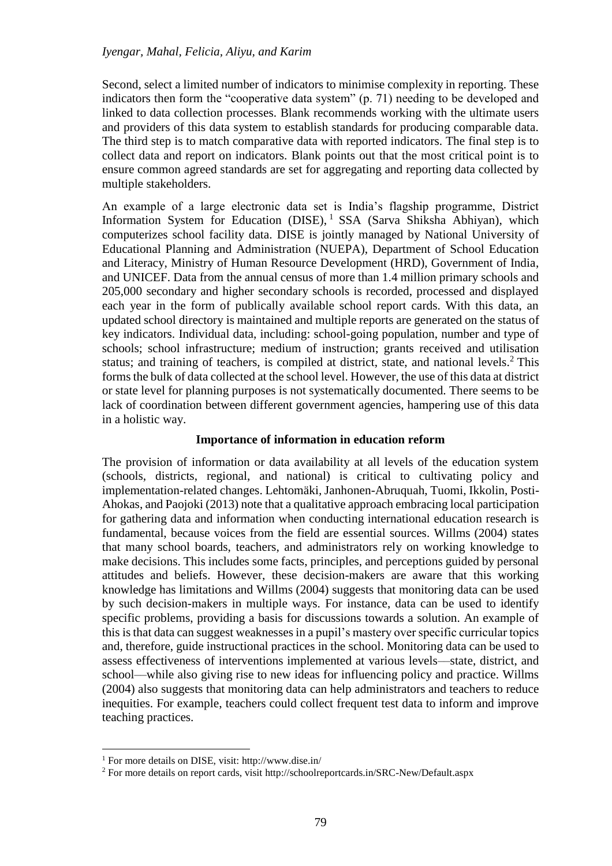Second, select a limited number of indicators to minimise complexity in reporting. These indicators then form the "cooperative data system" (p. 71) needing to be developed and linked to data collection processes. Blank recommends working with the ultimate users and providers of this data system to establish standards for producing comparable data. The third step is to match comparative data with reported indicators. The final step is to collect data and report on indicators. Blank points out that the most critical point is to ensure common agreed standards are set for aggregating and reporting data collected by multiple stakeholders.

An example of a large electronic data set is India's flagship programme, District Information System for Education (DISE), <sup>1</sup> SSA (Sarva Shiksha Abhiyan), which computerizes school facility data. DISE is jointly managed by National University of Educational Planning and Administration (NUEPA), Department of School Education and Literacy, Ministry of Human Resource Development (HRD), Government of India, and UNICEF. Data from the annual census of more than 1.4 million primary schools and 205,000 secondary and higher secondary schools is recorded, processed and displayed each year in the form of publically available school report cards. With this data, an updated school directory is maintained and multiple reports are generated on the status of key indicators. Individual data, including: school-going population, number and type of schools; school infrastructure; medium of instruction; grants received and utilisation status; and training of teachers, is compiled at district, state, and national levels.<sup>2</sup> This forms the bulk of data collected at the school level. However, the use of this data at district or state level for planning purposes is not systematically documented. There seems to be lack of coordination between different government agencies, hampering use of this data in a holistic way.

# **Importance of information in education reform**

The provision of information or data availability at all levels of the education system (schools, districts, regional, and national) is critical to cultivating policy and implementation-related changes. Lehtomäki*,* Janhonen-Abruquah, Tuomi, Ikkolin, Posti-Ahokas, and Paojoki (2013) note that a qualitative approach embracing local participation for gathering data and information when conducting international education research is fundamental, because voices from the field are essential sources. Willms (2004) states that many school boards, teachers, and administrators rely on working knowledge to make decisions. This includes some facts, principles, and perceptions guided by personal attitudes and beliefs. However, these decision-makers are aware that this working knowledge has limitations and Willms (2004) suggests that monitoring data can be used by such decision-makers in multiple ways. For instance, data can be used to identify specific problems, providing a basis for discussions towards a solution. An example of this is that data can suggest weaknesses in a pupil's mastery over specific curricular topics and, therefore, guide instructional practices in the school. Monitoring data can be used to assess effectiveness of interventions implemented at various levels––state, district, and school––while also giving rise to new ideas for influencing policy and practice. Willms (2004) also suggests that monitoring data can help administrators and teachers to reduce inequities. For example, teachers could collect frequent test data to inform and improve teaching practices.

<sup>1</sup> For more details on DISE, visit:<http://www.dise.in/>

<sup>2</sup> For more details on report cards, visit<http://schoolreportcards.in/SRC-New/Default.aspx>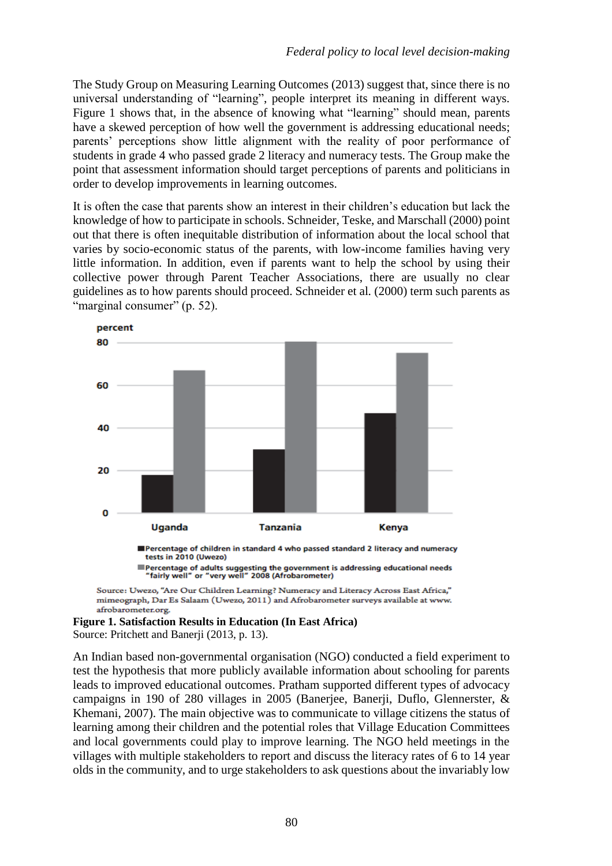The Study Group on Measuring Learning Outcomes (2013) suggest that, since there is no universal understanding of "learning", people interpret its meaning in different ways. Figure 1 shows that, in the absence of knowing what "learning" should mean, parents have a skewed perception of how well the government is addressing educational needs; parents' perceptions show little alignment with the reality of poor performance of students in grade 4 who passed grade 2 literacy and numeracy tests. The Group make the point that assessment information should target perceptions of parents and politicians in order to develop improvements in learning outcomes.

It is often the case that parents show an interest in their children's education but lack the knowledge of how to participate in schools. Schneider, Teske, and Marschall (2000) point out that there is often inequitable distribution of information about the local school that varies by socio-economic status of the parents, with low-income families having very little information. In addition, even if parents want to help the school by using their collective power through Parent Teacher Associations, there are usually no clear guidelines as to how parents should proceed. Schneider et al*.* (2000) term such parents as "marginal consumer" (p. 52).



Percentage of children in standard 4 who passed standard 2 literacy and numeracy tests in 2010 (Uwezo)

■Percentage of adults suggesting the government is addressing educational needs<br>"fairly well" or "very well" 2008 (Afrobarometer)

Source: Uwezo, "Are Our Children Learning? Numeracy and Literacy Across East Africa," mimeograph, Dar Es Salaam (Uwezo, 2011) and Afrobarometer surveys available at www. afrobarometer.org.

#### **Figure 1. Satisfaction Results in Education (In East Africa)** Source: Pritchett and Banerji (2013, p. 13).

An Indian based non-governmental organisation (NGO) conducted a field experiment to test the hypothesis that more publicly available information about schooling for parents leads to improved educational outcomes. Pratham supported different types of advocacy campaigns in 190 of 280 villages in 2005 (Banerjee, Banerji, Duflo, Glennerster, & Khemani, 2007). The main objective was to communicate to village citizens the status of learning among their children and the potential roles that Village Education Committees and local governments could play to improve learning. The NGO held meetings in the villages with multiple stakeholders to report and discuss the literacy rates of 6 to 14 year olds in the community, and to urge stakeholders to ask questions about the invariably low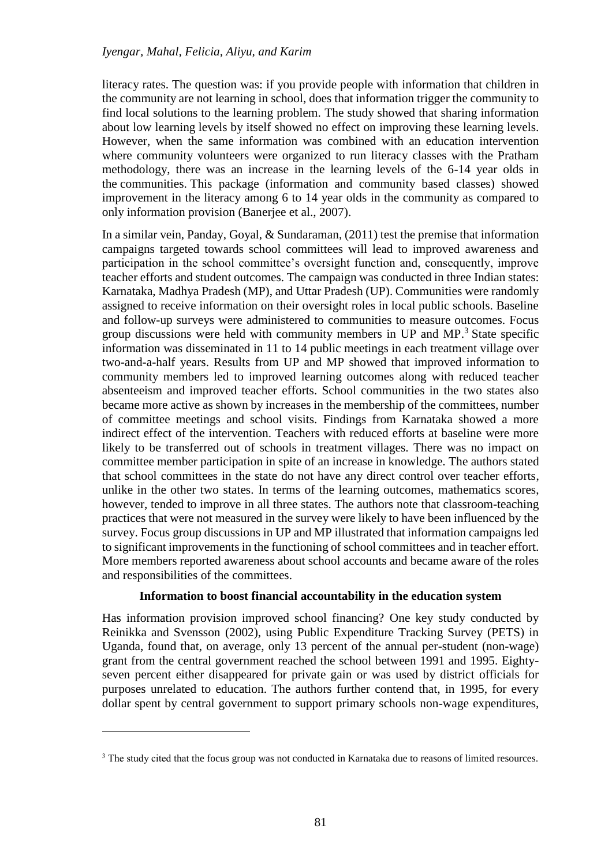literacy rates. The question was: if you provide people with information that children in the community are not learning in school, does that information trigger the community to find local solutions to the learning problem. The study showed that sharing information about low learning levels by itself showed no effect on improving these learning levels. However, when the same information was combined with an education intervention where community volunteers were organized to run literacy classes with the Pratham methodology, there was an increase in the learning levels of the 6-14 year olds in the communities. This package (information and community based classes) showed improvement in the literacy among 6 to 14 year olds in the community as compared to only information provision (Banerjee et al., 2007).

In a similar vein, Panday, Goyal, & Sundaraman, (2011) test the premise that information campaigns targeted towards school committees will lead to improved awareness and participation in the school committee's oversight function and, consequently, improve teacher efforts and student outcomes. The campaign was conducted in three Indian states: Karnataka, Madhya Pradesh (MP), and Uttar Pradesh (UP). Communities were randomly assigned to receive information on their oversight roles in local public schools. Baseline and follow-up surveys were administered to communities to measure outcomes. Focus group discussions were held with community members in UP and MP. <sup>3</sup> State specific information was disseminated in 11 to 14 public meetings in each treatment village over two-and-a-half years. Results from UP and MP showed that improved information to community members led to improved learning outcomes along with reduced teacher absenteeism and improved teacher efforts. School communities in the two states also became more active as shown by increases in the membership of the committees, number of committee meetings and school visits. Findings from Karnataka showed a more indirect effect of the intervention. Teachers with reduced efforts at baseline were more likely to be transferred out of schools in treatment villages. There was no impact on committee member participation in spite of an increase in knowledge. The authors stated that school committees in the state do not have any direct control over teacher efforts, unlike in the other two states. In terms of the learning outcomes, mathematics scores, however, tended to improve in all three states. The authors note that classroom-teaching practices that were not measured in the survey were likely to have been influenced by the survey. Focus group discussions in UP and MP illustrated that information campaigns led to significant improvements in the functioning of school committees and in teacher effort. More members reported awareness about school accounts and became aware of the roles and responsibilities of the committees.

# **Information to boost financial accountability in the education system**

Has information provision improved school financing? One key study conducted by Reinikka and Svensson (2002), using Public Expenditure Tracking Survey (PETS) in Uganda, found that, on average, only 13 percent of the annual per-student (non-wage) grant from the central government reached the school between 1991 and 1995. Eightyseven percent either disappeared for private gain or was used by district officials for purposes unrelated to education. The authors further contend that, in 1995, for every dollar spent by central government to support primary schools non-wage expenditures,

<sup>&</sup>lt;sup>3</sup> The study cited that the focus group was not conducted in Karnataka due to reasons of limited resources.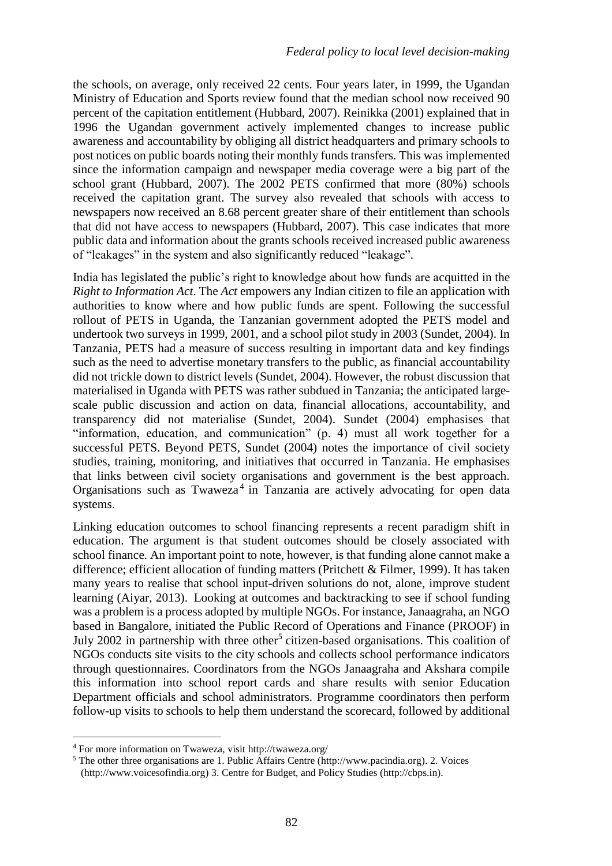the schools, on average, only received 22 cents. Four years later, in 1999, the Ugandan Ministry of Education and Sports review found that the median school now received 90 percent of the capitation entitlement (Hubbard, 2007). Reinikka (2001) explained that in 1996 the Ugandan government actively implemented changes to increase public awareness and accountability by obliging all district headquarters and primary schools to post notices on public boards noting their monthly funds transfers. This was implemented since the information campaign and newspaper media coverage were a big part of the school grant (Hubbard, 2007). The 2002 PETS confirmed that more (80%) schools received the capitation grant. The survey also revealed that schools with access to newspapers now received an 8.68 percent greater share of their entitlement than schools that did not have access to newspapers (Hubbard, 2007). This case indicates that more public data and information about the grants schools received increased public awareness of "leakages" in the system and also significantly reduced "leakage".

India has legislated the public's right to knowledge about how funds are acquitted in the *Right to Information Act*. The *Act* empowers any Indian citizen to file an application with authorities to know where and how public funds are spent. Following the successful rollout of PETS in Uganda, the Tanzanian government adopted the PETS model and undertook two surveys in 1999, 2001, and a school pilot study in 2003 (Sundet, 2004). In Tanzania, PETS had a measure of success resulting in important data and key findings such as the need to advertise monetary transfers to the public, as financial accountability did not trickle down to district levels (Sundet, 2004). However, the robust discussion that materialised in Uganda with PETS was rather subdued in Tanzania; the anticipated largescale public discussion and action on data, financial allocations, accountability, and transparency did not materialise (Sundet, 2004). Sundet (2004) emphasises that "information, education, and communication" (p. 4) must all work together for a successful PETS. Beyond PETS, Sundet (2004) notes the importance of civil society studies, training, monitoring, and initiatives that occurred in Tanzania. He emphasises that links between civil society organisations and government is the best approach. Organisations such as Twaweza<sup>4</sup> in Tanzania are actively advocating for open data systems.

Linking education outcomes to school financing represents a recent paradigm shift in education. The argument is that student outcomes should be closely associated with school finance. An important point to note, however, is that funding alone cannot make a difference; efficient allocation of funding matters (Pritchett & Filmer, 1999). It has taken many years to realise that school input-driven solutions do not, alone, improve student learning (Aiyar, 2013). Looking at outcomes and backtracking to see if school funding was a problem is a process adopted by multiple NGOs. For instance, Janaagraha, an NGO based in Bangalore, initiated the Public Record of Operations and Finance (PROOF) in July 2002 in partnership with three other<sup>5</sup> citizen-based organisations. This coalition of NGOs conducts site visits to the city schools and collects school performance indicators through questionnaires. Coordinators from the NGOs Janaagraha and Akshara compile this information into school report cards and share results with senior Education Department officials and school administrators. Programme coordinators then perform follow-up visits to schools to help them understand the scorecard, followed by additional

<sup>4</sup> For more information on Twaweza, visit http://twaweza.org/

<sup>5</sup> The other three organisations are 1. Public Affairs Centre (http://www.pacindia.org). 2. Voices (http://www.voicesofindia.org) 3. Centre for Budget, and Policy Studies (http://cbps.in).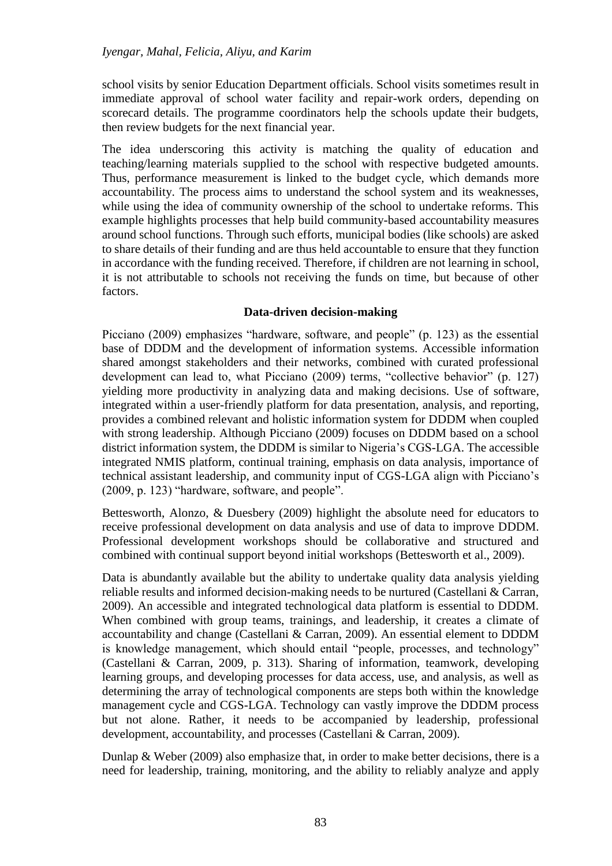school visits by senior Education Department officials. School visits sometimes result in immediate approval of school water facility and repair-work orders, depending on scorecard details. The programme coordinators help the schools update their budgets, then review budgets for the next financial year.

The idea underscoring this activity is matching the quality of education and teaching/learning materials supplied to the school with respective budgeted amounts. Thus, performance measurement is linked to the budget cycle, which demands more accountability. The process aims to understand the school system and its weaknesses, while using the idea of community ownership of the school to undertake reforms. This example highlights processes that help build community-based accountability measures around school functions. Through such efforts, municipal bodies (like schools) are asked to share details of their funding and are thus held accountable to ensure that they function in accordance with the funding received. Therefore, if children are not learning in school, it is not attributable to schools not receiving the funds on time, but because of other factors.

# **Data-driven decision-making**

Picciano (2009) emphasizes "hardware, software, and people" (p. 123) as the essential base of DDDM and the development of information systems. Accessible information shared amongst stakeholders and their networks, combined with curated professional development can lead to, what Picciano (2009) terms, "collective behavior" (p. 127) yielding more productivity in analyzing data and making decisions. Use of software, integrated within a user-friendly platform for data presentation, analysis, and reporting, provides a combined relevant and holistic information system for DDDM when coupled with strong leadership. Although Picciano (2009) focuses on DDDM based on a school district information system, the DDDM is similar to Nigeria's CGS-LGA. The accessible integrated NMIS platform, continual training, emphasis on data analysis, importance of technical assistant leadership, and community input of CGS-LGA align with Picciano's (2009, p. 123) "hardware, software, and people".

Bettesworth, Alonzo, & Duesbery (2009) highlight the absolute need for educators to receive professional development on data analysis and use of data to improve DDDM. Professional development workshops should be collaborative and structured and combined with continual support beyond initial workshops (Bettesworth et al., 2009).

Data is abundantly available but the ability to undertake quality data analysis yielding reliable results and informed decision-making needs to be nurtured (Castellani & Carran, 2009). An accessible and integrated technological data platform is essential to DDDM. When combined with group teams, trainings, and leadership, it creates a climate of accountability and change (Castellani & Carran, 2009). An essential element to DDDM is knowledge management, which should entail "people, processes, and technology" (Castellani & Carran, 2009, p. 313). Sharing of information, teamwork, developing learning groups, and developing processes for data access, use, and analysis, as well as determining the array of technological components are steps both within the knowledge management cycle and CGS-LGA. Technology can vastly improve the DDDM process but not alone. Rather, it needs to be accompanied by leadership, professional development, accountability, and processes (Castellani & Carran, 2009).

Dunlap & Weber (2009) also emphasize that, in order to make better decisions, there is a need for leadership, training, monitoring, and the ability to reliably analyze and apply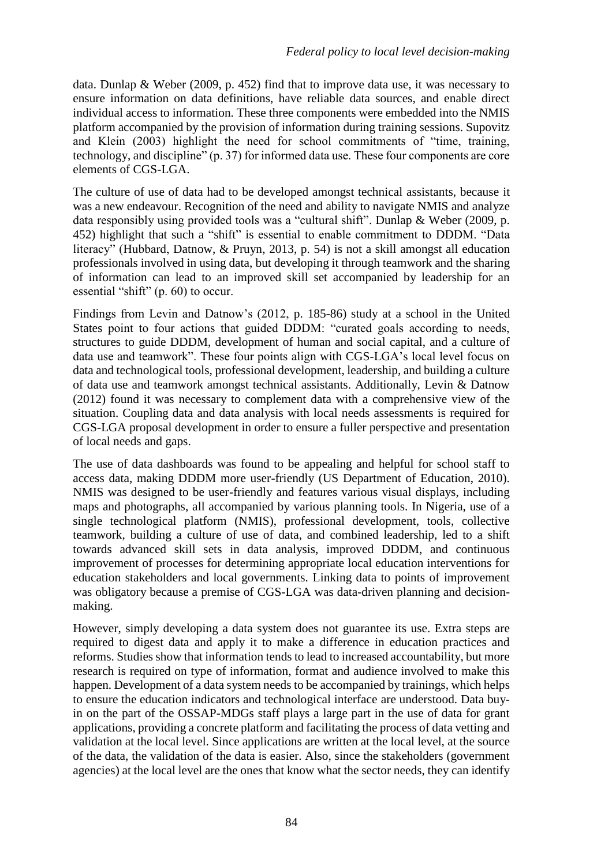data. Dunlap & Weber (2009, p. 452) find that to improve data use, it was necessary to ensure information on data definitions, have reliable data sources, and enable direct individual access to information. These three components were embedded into the NMIS platform accompanied by the provision of information during training sessions. Supovitz and Klein (2003) highlight the need for school commitments of "time, training, technology, and discipline" (p. 37) for informed data use. These four components are core elements of CGS-LGA.

The culture of use of data had to be developed amongst technical assistants, because it was a new endeavour. Recognition of the need and ability to navigate NMIS and analyze data responsibly using provided tools was a "cultural shift". Dunlap & Weber (2009, p. 452) highlight that such a "shift" is essential to enable commitment to DDDM. "Data literacy" (Hubbard, Datnow, & Pruyn, 2013, p. 54) is not a skill amongst all education professionals involved in using data, but developing it through teamwork and the sharing of information can lead to an improved skill set accompanied by leadership for an essential "shift" (p. 60) to occur.

Findings from Levin and Datnow's (2012, p. 185-86) study at a school in the United States point to four actions that guided DDDM: "curated goals according to needs, structures to guide DDDM, development of human and social capital, and a culture of data use and teamwork". These four points align with CGS-LGA's local level focus on data and technological tools, professional development, leadership, and building a culture of data use and teamwork amongst technical assistants. Additionally, Levin & Datnow (2012) found it was necessary to complement data with a comprehensive view of the situation. Coupling data and data analysis with local needs assessments is required for CGS-LGA proposal development in order to ensure a fuller perspective and presentation of local needs and gaps.

The use of data dashboards was found to be appealing and helpful for school staff to access data, making DDDM more user-friendly (US Department of Education, 2010). NMIS was designed to be user-friendly and features various visual displays, including maps and photographs, all accompanied by various planning tools. In Nigeria, use of a single technological platform (NMIS), professional development, tools, collective teamwork, building a culture of use of data, and combined leadership, led to a shift towards advanced skill sets in data analysis, improved DDDM, and continuous improvement of processes for determining appropriate local education interventions for education stakeholders and local governments. Linking data to points of improvement was obligatory because a premise of CGS-LGA was data-driven planning and decisionmaking.

However, simply developing a data system does not guarantee its use. Extra steps are required to digest data and apply it to make a difference in education practices and reforms. Studies show that information tends to lead to increased accountability, but more research is required on type of information, format and audience involved to make this happen. Development of a data system needs to be accompanied by trainings, which helps to ensure the education indicators and technological interface are understood. Data buyin on the part of the OSSAP-MDGs staff plays a large part in the use of data for grant applications, providing a concrete platform and facilitating the process of data vetting and validation at the local level. Since applications are written at the local level, at the source of the data, the validation of the data is easier. Also, since the stakeholders (government agencies) at the local level are the ones that know what the sector needs, they can identify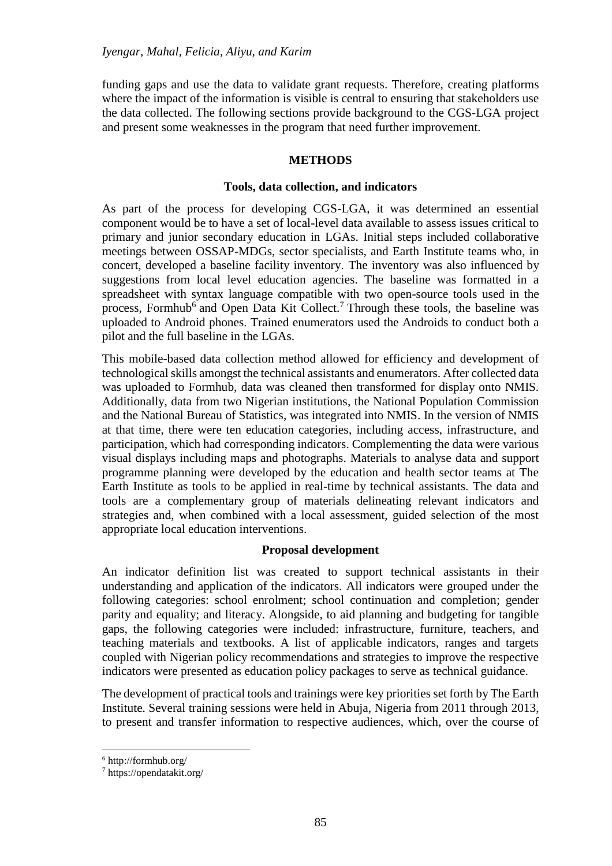funding gaps and use the data to validate grant requests. Therefore, creating platforms where the impact of the information is visible is central to ensuring that stakeholders use the data collected. The following sections provide background to the CGS-LGA project and present some weaknesses in the program that need further improvement.

# **METHODS**

# **Tools, data collection, and indicators**

As part of the process for developing CGS-LGA, it was determined an essential component would be to have a set of local-level data available to assess issues critical to primary and junior secondary education in LGAs. Initial steps included collaborative meetings between OSSAP-MDGs, sector specialists, and Earth Institute teams who, in concert, developed a baseline facility inventory. The inventory was also influenced by suggestions from local level education agencies. The baseline was formatted in a spreadsheet with syntax language compatible with two open-source tools used in the process, Formhub<sup>6</sup> and Open Data Kit Collect.<sup>7</sup> Through these tools, the baseline was uploaded to Android phones. Trained enumerators used the Androids to conduct both a pilot and the full baseline in the LGAs.

This mobile-based data collection method allowed for efficiency and development of technological skills amongst the technical assistants and enumerators. After collected data was uploaded to Formhub, data was cleaned then transformed for display onto NMIS. Additionally, data from two Nigerian institutions, the National Population Commission and the National Bureau of Statistics, was integrated into NMIS. In the version of NMIS at that time, there were ten education categories, including access, infrastructure, and participation, which had corresponding indicators. Complementing the data were various visual displays including maps and photographs. Materials to analyse data and support programme planning were developed by the education and health sector teams at The Earth Institute as tools to be applied in real-time by technical assistants. The data and tools are a complementary group of materials delineating relevant indicators and strategies and, when combined with a local assessment, guided selection of the most appropriate local education interventions.

# **Proposal development**

An indicator definition list was created to support technical assistants in their understanding and application of the indicators. All indicators were grouped under the following categories: school enrolment; school continuation and completion; gender parity and equality; and literacy. Alongside, to aid planning and budgeting for tangible gaps, the following categories were included: infrastructure, furniture, teachers, and teaching materials and textbooks. A list of applicable indicators, ranges and targets coupled with Nigerian policy recommendations and strategies to improve the respective indicators were presented as education policy packages to serve as technical guidance.

The development of practical tools and trainings were key priorities set forth by The Earth Institute. Several training sessions were held in Abuja, Nigeria from 2011 through 2013, to present and transfer information to respective audiences, which, over the course of

<sup>6</sup> http://formhub.org/

<sup>7</sup> https://opendatakit.org/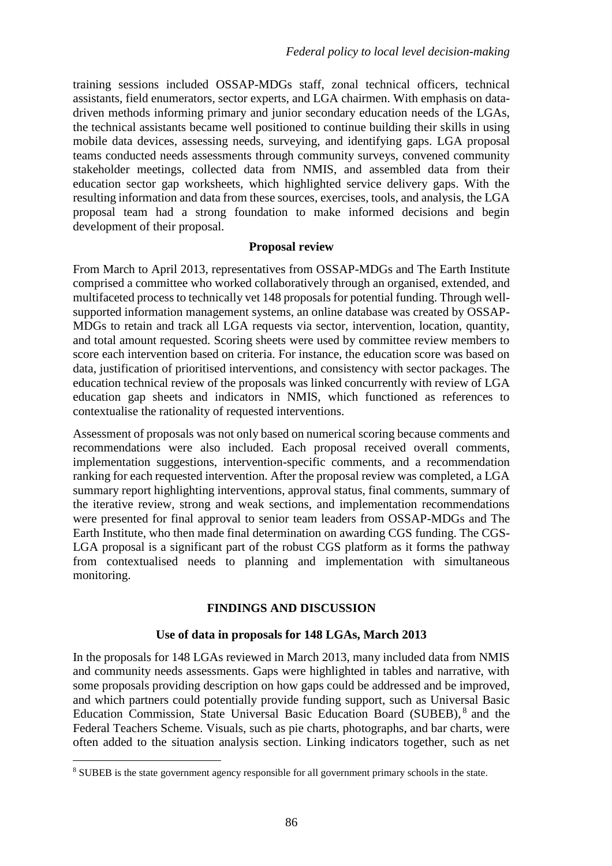training sessions included OSSAP-MDGs staff, zonal technical officers, technical assistants, field enumerators, sector experts, and LGA chairmen. With emphasis on datadriven methods informing primary and junior secondary education needs of the LGAs, the technical assistants became well positioned to continue building their skills in using mobile data devices, assessing needs, surveying, and identifying gaps. LGA proposal teams conducted needs assessments through community surveys, convened community stakeholder meetings, collected data from NMIS, and assembled data from their education sector gap worksheets, which highlighted service delivery gaps. With the resulting information and data from these sources, exercises, tools, and analysis, the LGA proposal team had a strong foundation to make informed decisions and begin development of their proposal.

# **Proposal review**

From March to April 2013, representatives from OSSAP-MDGs and The Earth Institute comprised a committee who worked collaboratively through an organised, extended, and multifaceted process to technically vet 148 proposals for potential funding. Through wellsupported information management systems, an online database was created by OSSAP-MDGs to retain and track all LGA requests via sector, intervention, location, quantity, and total amount requested. Scoring sheets were used by committee review members to score each intervention based on criteria. For instance, the education score was based on data, justification of prioritised interventions, and consistency with sector packages. The education technical review of the proposals was linked concurrently with review of LGA education gap sheets and indicators in NMIS, which functioned as references to contextualise the rationality of requested interventions.

Assessment of proposals was not only based on numerical scoring because comments and recommendations were also included. Each proposal received overall comments, implementation suggestions, intervention-specific comments, and a recommendation ranking for each requested intervention. After the proposal review was completed, a LGA summary report highlighting interventions, approval status, final comments, summary of the iterative review, strong and weak sections, and implementation recommendations were presented for final approval to senior team leaders from OSSAP-MDGs and The Earth Institute, who then made final determination on awarding CGS funding. The CGS-LGA proposal is a significant part of the robust CGS platform as it forms the pathway from contextualised needs to planning and implementation with simultaneous monitoring.

# **FINDINGS AND DISCUSSION**

# **Use of data in proposals for 148 LGAs, March 2013**

In the proposals for 148 LGAs reviewed in March 2013, many included data from NMIS and community needs assessments. Gaps were highlighted in tables and narrative, with some proposals providing description on how gaps could be addressed and be improved, and which partners could potentially provide funding support, such as Universal Basic Education Commission, State Universal Basic Education Board (SUBEB), <sup>8</sup> and the Federal Teachers Scheme. Visuals, such as pie charts, photographs, and bar charts, were often added to the situation analysis section. Linking indicators together, such as net

 $\overline{a}$ <sup>8</sup> SUBEB is the state government agency responsible for all government primary schools in the state.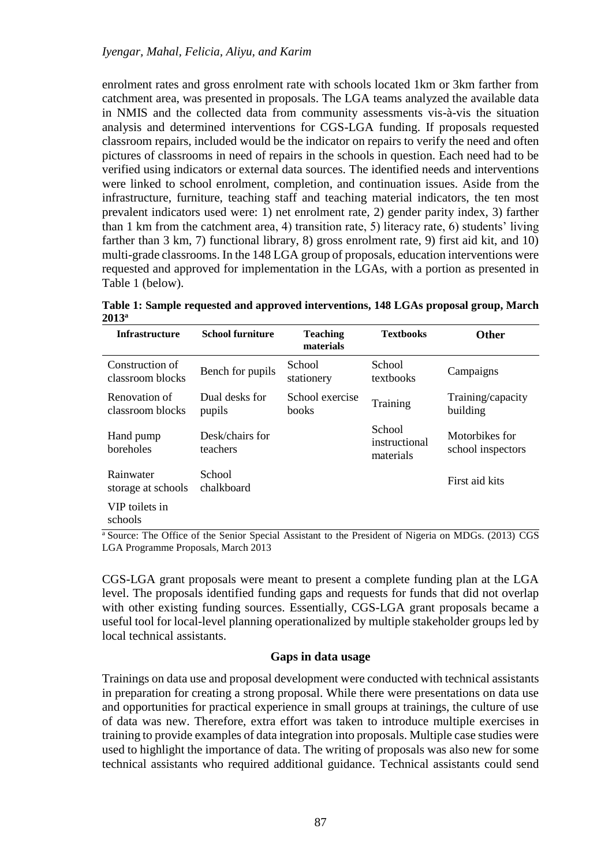enrolment rates and gross enrolment rate with schools located 1km or 3km farther from catchment area, was presented in proposals. The LGA teams analyzed the available data in NMIS and the collected data from community assessments vis-à-vis the situation analysis and determined interventions for CGS-LGA funding. If proposals requested classroom repairs, included would be the indicator on repairs to verify the need and often pictures of classrooms in need of repairs in the schools in question. Each need had to be verified using indicators or external data sources. The identified needs and interventions were linked to school enrolment, completion, and continuation issues. Aside from the infrastructure, furniture, teaching staff and teaching material indicators, the ten most prevalent indicators used were: 1) net enrolment rate, 2) gender parity index, 3) farther than 1 km from the catchment area, 4) transition rate, 5) literacy rate, 6) students' living farther than 3 km, 7) functional library, 8) gross enrolment rate, 9) first aid kit, and 10) multi-grade classrooms. In the 148 LGA group of proposals, education interventions were requested and approved for implementation in the LGAs, with a portion as presented in Table 1 (below).

**Table 1: Sample requested and approved interventions, 148 LGAs proposal group, March 2013<sup>a</sup>**

| <b>Infrastructure</b>               | <b>School furniture</b>     | <b>Teaching</b><br>materials | <b>Textbooks</b>                     | <b>Other</b>                        |
|-------------------------------------|-----------------------------|------------------------------|--------------------------------------|-------------------------------------|
| Construction of<br>classroom blocks | Bench for pupils            | School<br>stationery         | School<br>textbooks                  | Campaigns                           |
| Renovation of<br>classroom blocks   | Dual desks for<br>pupils    | School exercise<br>books     | Training                             | Training/capacity<br>building       |
| Hand pump<br>boreholes              | Desk/chairs for<br>teachers |                              | School<br>instructional<br>materials | Motorbikes for<br>school inspectors |
| Rainwater<br>storage at schools     | School<br>chalkboard        |                              |                                      | First aid kits                      |
| VIP toilets in<br>schools           |                             |                              |                                      |                                     |

<sup>a</sup> Source: The Office of the Senior Special Assistant to the President of Nigeria on MDGs. (2013) CGS LGA Programme Proposals, March 2013

CGS-LGA grant proposals were meant to present a complete funding plan at the LGA level. The proposals identified funding gaps and requests for funds that did not overlap with other existing funding sources. Essentially, CGS-LGA grant proposals became a useful tool for local-level planning operationalized by multiple stakeholder groups led by local technical assistants.

# **Gaps in data usage**

Trainings on data use and proposal development were conducted with technical assistants in preparation for creating a strong proposal. While there were presentations on data use and opportunities for practical experience in small groups at trainings, the culture of use of data was new. Therefore, extra effort was taken to introduce multiple exercises in training to provide examples of data integration into proposals. Multiple case studies were used to highlight the importance of data. The writing of proposals was also new for some technical assistants who required additional guidance. Technical assistants could send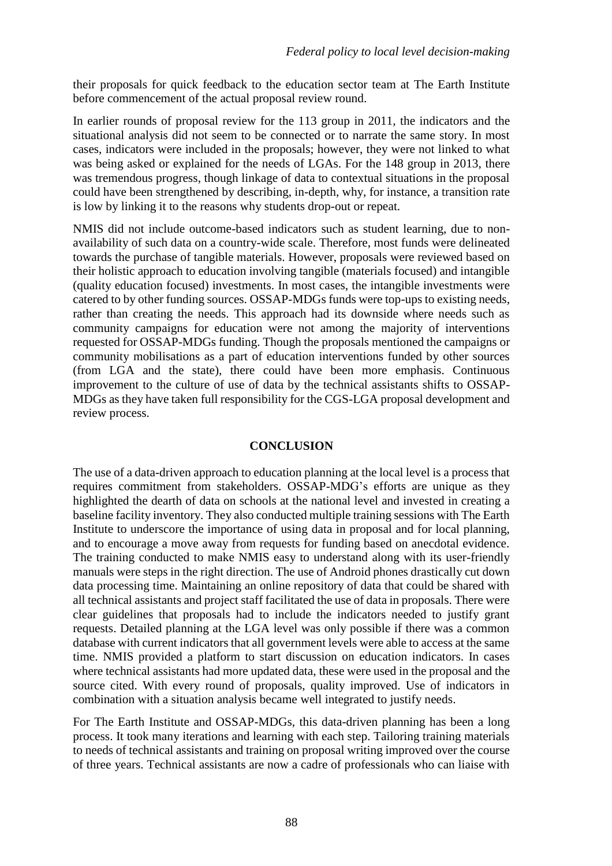their proposals for quick feedback to the education sector team at The Earth Institute before commencement of the actual proposal review round.

In earlier rounds of proposal review for the 113 group in 2011, the indicators and the situational analysis did not seem to be connected or to narrate the same story. In most cases, indicators were included in the proposals; however, they were not linked to what was being asked or explained for the needs of LGAs. For the 148 group in 2013, there was tremendous progress, though linkage of data to contextual situations in the proposal could have been strengthened by describing, in-depth, why, for instance, a transition rate is low by linking it to the reasons why students drop-out or repeat.

NMIS did not include outcome-based indicators such as student learning, due to nonavailability of such data on a country-wide scale. Therefore, most funds were delineated towards the purchase of tangible materials. However, proposals were reviewed based on their holistic approach to education involving tangible (materials focused) and intangible (quality education focused) investments. In most cases, the intangible investments were catered to by other funding sources. OSSAP-MDGs funds were top-ups to existing needs, rather than creating the needs. This approach had its downside where needs such as community campaigns for education were not among the majority of interventions requested for OSSAP-MDGs funding. Though the proposals mentioned the campaigns or community mobilisations as a part of education interventions funded by other sources (from LGA and the state), there could have been more emphasis. Continuous improvement to the culture of use of data by the technical assistants shifts to OSSAP-MDGs as they have taken full responsibility for the CGS-LGA proposal development and review process.

# **CONCLUSION**

The use of a data-driven approach to education planning at the local level is a process that requires commitment from stakeholders. OSSAP-MDG's efforts are unique as they highlighted the dearth of data on schools at the national level and invested in creating a baseline facility inventory. They also conducted multiple training sessions with The Earth Institute to underscore the importance of using data in proposal and for local planning, and to encourage a move away from requests for funding based on anecdotal evidence. The training conducted to make NMIS easy to understand along with its user-friendly manuals were steps in the right direction. The use of Android phones drastically cut down data processing time. Maintaining an online repository of data that could be shared with all technical assistants and project staff facilitated the use of data in proposals. There were clear guidelines that proposals had to include the indicators needed to justify grant requests. Detailed planning at the LGA level was only possible if there was a common database with current indicators that all government levels were able to access at the same time. NMIS provided a platform to start discussion on education indicators. In cases where technical assistants had more updated data, these were used in the proposal and the source cited. With every round of proposals, quality improved. Use of indicators in combination with a situation analysis became well integrated to justify needs.

For The Earth Institute and OSSAP-MDGs, this data-driven planning has been a long process. It took many iterations and learning with each step. Tailoring training materials to needs of technical assistants and training on proposal writing improved over the course of three years. Technical assistants are now a cadre of professionals who can liaise with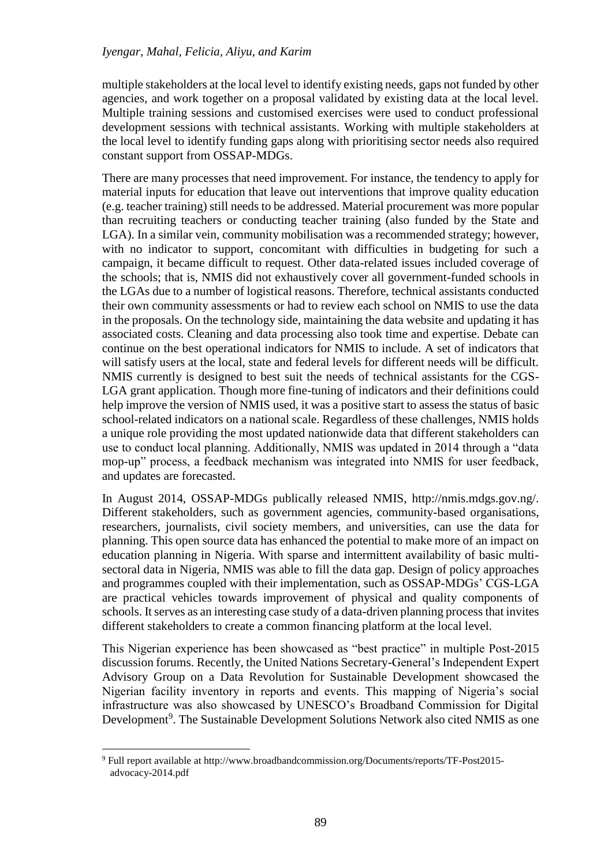multiple stakeholders at the local level to identify existing needs, gaps not funded by other agencies, and work together on a proposal validated by existing data at the local level. Multiple training sessions and customised exercises were used to conduct professional development sessions with technical assistants. Working with multiple stakeholders at the local level to identify funding gaps along with prioritising sector needs also required constant support from OSSAP-MDGs.

There are many processes that need improvement. For instance, the tendency to apply for material inputs for education that leave out interventions that improve quality education (e.g. teacher training) still needs to be addressed. Material procurement was more popular than recruiting teachers or conducting teacher training (also funded by the State and LGA). In a similar vein, community mobilisation was a recommended strategy; however, with no indicator to support, concomitant with difficulties in budgeting for such a campaign, it became difficult to request. Other data-related issues included coverage of the schools; that is, NMIS did not exhaustively cover all government-funded schools in the LGAs due to a number of logistical reasons. Therefore, technical assistants conducted their own community assessments or had to review each school on NMIS to use the data in the proposals. On the technology side, maintaining the data website and updating it has associated costs. Cleaning and data processing also took time and expertise. Debate can continue on the best operational indicators for NMIS to include. A set of indicators that will satisfy users at the local, state and federal levels for different needs will be difficult. NMIS currently is designed to best suit the needs of technical assistants for the CGS-LGA grant application. Though more fine-tuning of indicators and their definitions could help improve the version of NMIS used, it was a positive start to assess the status of basic school-related indicators on a national scale. Regardless of these challenges, NMIS holds a unique role providing the most updated nationwide data that different stakeholders can use to conduct local planning. Additionally, NMIS was updated in 2014 through a "data mop-up" process, a feedback mechanism was integrated into NMIS for user feedback, and updates are forecasted.

In August 2014, OSSAP-MDGs publically released NMIS, http://nmis.mdgs.gov.ng/. Different stakeholders, such as government agencies, community-based organisations, researchers, journalists, civil society members, and universities, can use the data for planning. This open source data has enhanced the potential to make more of an impact on education planning in Nigeria. With sparse and intermittent availability of basic multisectoral data in Nigeria, NMIS was able to fill the data gap. Design of policy approaches and programmes coupled with their implementation, such as OSSAP-MDGs' CGS-LGA are practical vehicles towards improvement of physical and quality components of schools. It serves as an interesting case study of a data-driven planning process that invites different stakeholders to create a common financing platform at the local level.

This Nigerian experience has been showcased as "best practice" in multiple Post-2015 discussion forums. Recently, the United Nations Secretary-General's Independent Expert Advisory Group on a Data Revolution for Sustainable Development showcased the Nigerian facility inventory in reports and events. This mapping of Nigeria's social infrastructure was also showcased by UNESCO's Broadband Commission for Digital Development<sup>9</sup>. The Sustainable Development Solutions Network also cited NMIS as one

<sup>9</sup> Full report available at http://www.broadbandcommission.org/Documents/reports/TF-Post2015 advocacy-2014.pdf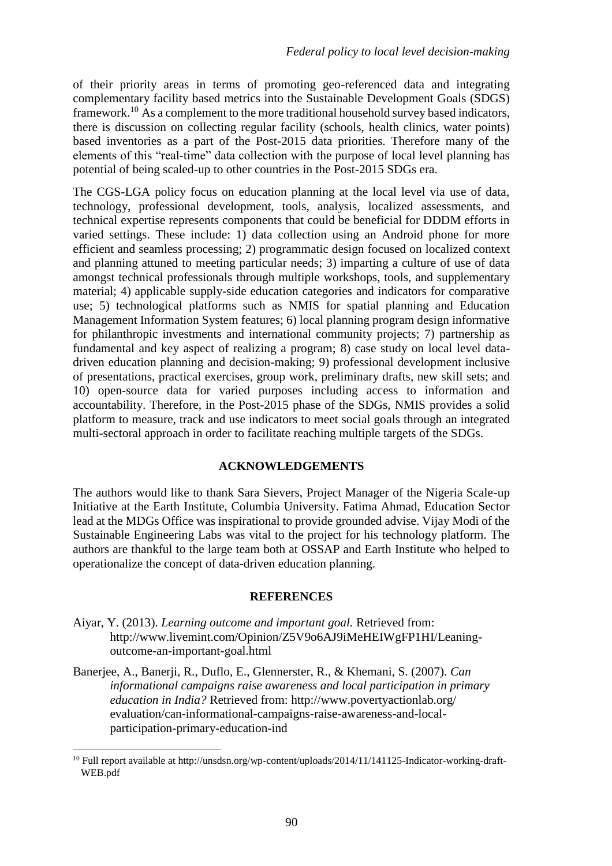of their priority areas in terms of promoting geo-referenced data and integrating complementary facility based metrics into the Sustainable Development Goals (SDGS) framework.<sup>10</sup> As a complement to the more traditional household survey based indicators, there is discussion on collecting regular facility (schools, health clinics, water points) based inventories as a part of the Post-2015 data priorities. Therefore many of the elements of this "real-time" data collection with the purpose of local level planning has potential of being scaled-up to other countries in the Post-2015 SDGs era.

The CGS-LGA policy focus on education planning at the local level via use of data, technology, professional development, tools, analysis, localized assessments, and technical expertise represents components that could be beneficial for DDDM efforts in varied settings. These include: 1) data collection using an Android phone for more efficient and seamless processing; 2) programmatic design focused on localized context and planning attuned to meeting particular needs; 3) imparting a culture of use of data amongst technical professionals through multiple workshops, tools, and supplementary material; 4) applicable supply-side education categories and indicators for comparative use; 5) technological platforms such as NMIS for spatial planning and Education Management Information System features; 6) local planning program design informative for philanthropic investments and international community projects; 7) partnership as fundamental and key aspect of realizing a program; 8) case study on local level datadriven education planning and decision-making; 9) professional development inclusive of presentations, practical exercises, group work, preliminary drafts, new skill sets; and 10) open-source data for varied purposes including access to information and accountability. Therefore, in the Post-2015 phase of the SDGs, NMIS provides a solid platform to measure, track and use indicators to meet social goals through an integrated multi-sectoral approach in order to facilitate reaching multiple targets of the SDGs.

# **ACKNOWLEDGEMENTS**

The authors would like to thank Sara Sievers, Project Manager of the Nigeria Scale-up Initiative at the Earth Institute, Columbia University. Fatima Ahmad, Education Sector lead at the MDGs Office was inspirational to provide grounded advise. Vijay Modi of the Sustainable Engineering Labs was vital to the project for his technology platform. The authors are thankful to the large team both at OSSAP and Earth Institute who helped to operationalize the concept of data-driven education planning.

# **REFERENCES**

- Aiyar, Y. (2013). *Learning outcome and important goal.* Retrieved from: http://www.livemint.com/Opinion/Z5V9o6AJ9iMeHEIWgFP1HI/Leaningoutcome-an-important-goal.html
- Banerjee, A., Banerji, R., Duflo, E., Glennerster, R., & Khemani, S. (2007). *Can informational campaigns raise awareness and local participation in primary education in India?* Retrieved from: http://www.povertyactionlab.org/ evaluation/can-informational-campaigns-raise-awareness-and-localparticipation-primary-education-ind

<sup>10</sup> Full report available at http://unsdsn.org/wp-content/uploads/2014/11/141125-Indicator-working-draft-WEB.pdf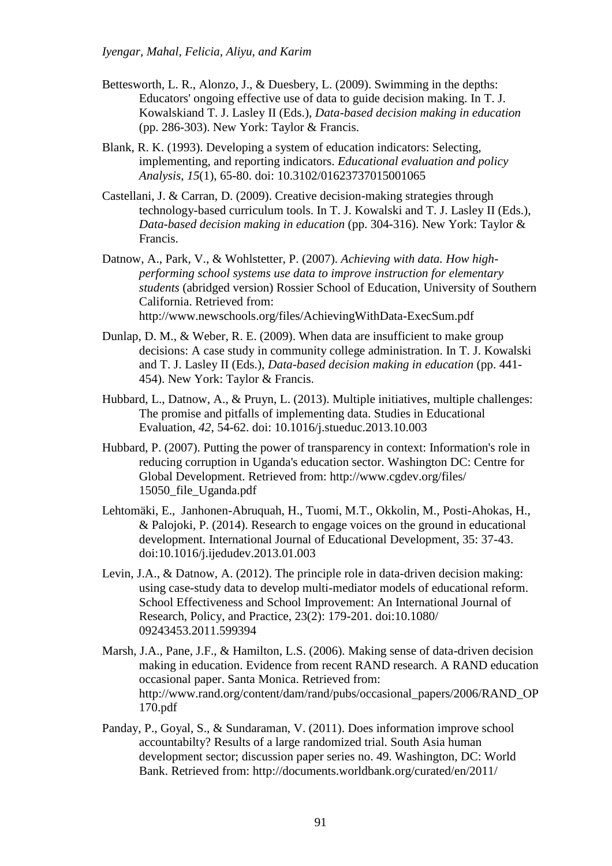- Bettesworth, L. R., Alonzo, J., & Duesbery, L. (2009). Swimming in the depths: Educators' ongoing effective use of data to guide decision making. In T. J. Kowalskiand T. J. Lasley II (Eds.), *Data-based decision making in education* (pp. 286-303). New York: Taylor & Francis.
- Blank, R. K. (1993). Developing a system of education indicators: Selecting, implementing, and reporting indicators. *Educational evaluation and policy Analysis*, *15*(1), 65-80. doi: 10.3102/01623737015001065
- Castellani, J. & Carran, D. (2009). Creative decision-making strategies through technology-based curriculum tools. In T. J. Kowalski and T. J. Lasley II (Eds.), *Data-based decision making in education* (pp. 304-316). New York: Taylor & Francis.
- Datnow, A., Park, V., & Wohlstetter, P. (2007). *Achieving with data. How highperforming school systems use data to improve instruction for elementary students* (abridged version) Rossier School of Education, University of Southern California. Retrieved from: http://www.newschools.org/files/AchievingWithData-ExecSum.pdf
- Dunlap, D. M., & Weber, R. E. (2009). When data are insufficient to make group decisions: A case study in community college administration. In T. J. Kowalski and T. J. Lasley II (Eds.), *Data-based decision making in education* (pp. 441- 454). New York: Taylor & Francis.
- Hubbard, L., Datnow, A., & Pruyn, L. (2013). Multiple initiatives, multiple challenges: The promise and pitfalls of implementing data. Studies in Educational Evaluation, *42*, 54-62. doi: 10.1016/j.stueduc.2013.10.003
- Hubbard, P. (2007). Putting the power of transparency in context: Information's role in reducing corruption in Uganda's education sector. Washington DC: Centre for Global Development. Retrieved from: http://www.cgdev.org/files/ 15050\_file\_Uganda.pdf
- Lehtomäki, E., Janhonen-Abruquah, H., Tuomi, M.T., Okkolin, M., Posti-Ahokas, H., & Palojoki, P. (2014). Research to engage voices on the ground in educational development. International Journal of Educational Development, 35: 37-43. doi:10.1016/j.ijedudev.2013.01.003
- Levin, J.A., & Datnow, A. (2012). The principle role in data-driven decision making: using case-study data to develop multi-mediator models of educational reform. School Effectiveness and School Improvement: An International Journal of Research, Policy, and Practice, 23(2): 179-201. doi:10.1080/ 09243453.2011.599394
- Marsh, J.A., Pane, J.F., & Hamilton, L.S. (2006). Making sense of data-driven decision making in education. Evidence from recent RAND research. A RAND education occasional paper. Santa Monica. Retrieved from: http://www.rand.org/content/dam/rand/pubs/occasional\_papers/2006/RAND\_OP 170.pdf
- Panday, P., Goyal, S., & Sundaraman, V. (2011). Does information improve school accountabilty? Results of a large randomized trial. South Asia human development sector; discussion paper series no. 49. Washington, DC: World Bank. Retrieved from: http://documents.worldbank.org/curated/en/2011/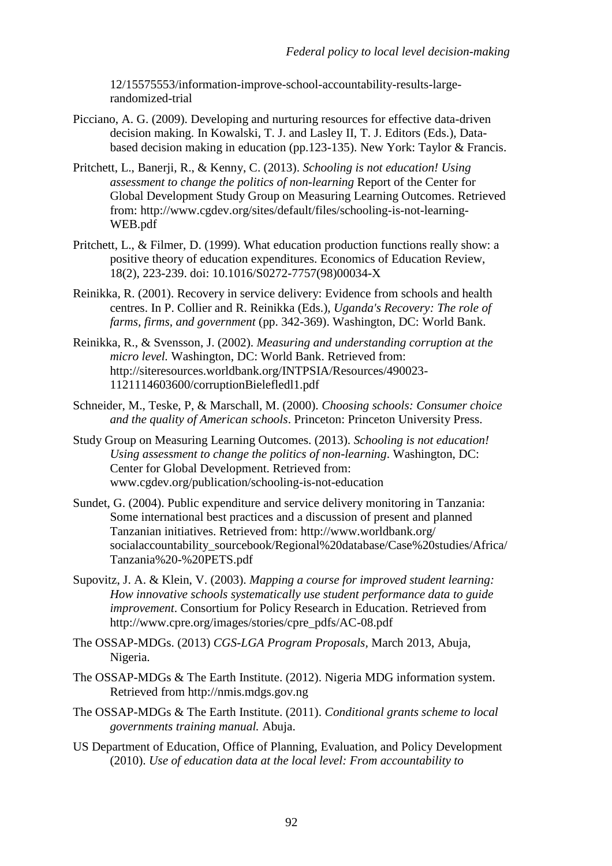12/15575553/information-improve-school-accountability-results-largerandomized-trial

- Picciano, A. G. (2009). Developing and nurturing resources for effective data-driven decision making. In Kowalski, T. J. and Lasley II, T. J. Editors (Eds.), Databased decision making in education (pp.123-135). New York: Taylor & Francis.
- Pritchett, L., Banerji, R., & Kenny, C. (2013). *Schooling is not education! Using assessment to change the politics of non-learning* Report of the Center for Global Development Study Group on Measuring Learning Outcomes. Retrieved from: http://www.cgdev.org/sites/default/files/schooling-is-not-learning-WEB.pdf
- Pritchett, L., & Filmer, D. (1999). What education production functions really show: a positive theory of education expenditures. Economics of Education Review, 18(2), 223-239. doi: 10.1016/S0272-7757(98)00034-X
- Reinikka, R. (2001). Recovery in service delivery: Evidence from schools and health centres. In P. Collier and R. Reinikka (Eds.), *Uganda's Recovery: The role of farms, firms, and government* (pp. 342-369). Washington, DC: World Bank.
- Reinikka, R., & Svensson, J. (2002). *Measuring and understanding corruption at the micro level.* Washington, DC: World Bank. Retrieved from: http://siteresources.worldbank.org/INTPSIA/Resources/490023- 1121114603600/corruptionBielefledl1.pdf
- Schneider, M., Teske, P, & Marschall, M. (2000). *Choosing schools: Consumer choice and the quality of American schools*. Princeton: Princeton University Press.
- Study Group on Measuring Learning Outcomes. (2013). *Schooling is not education! Using assessment to change the politics of non-learning*. Washington, DC: Center for Global Development. Retrieved from: www.cgdev.org/publication/schooling-is-not-education
- Sundet, G. (2004). Public expenditure and service delivery monitoring in Tanzania: Some international best practices and a discussion of present and planned Tanzanian initiatives. Retrieved from: http://www.worldbank.org/ socialaccountability\_sourcebook/Regional%20database/Case%20studies/Africa/ Tanzania%20-%20PETS.pdf
- Supovitz, J. A. & Klein, V. (2003). *Mapping a course for improved student learning: How innovative schools systematically use student performance data to guide improvement*. Consortium for Policy Research in Education. Retrieved from http://www.cpre.org/images/stories/cpre\_pdfs/AC-08.pdf
- The OSSAP-MDGs. (2013) *CGS-LGA Program Proposals,* March 2013, Abuja, Nigeria.
- The OSSAP-MDGs & The Earth Institute. (2012). Nigeria MDG information system. Retrieved from http://nmis.mdgs.gov.ng
- The OSSAP-MDGs & The Earth Institute. (2011). *Conditional grants scheme to local governments training manual.* Abuja.
- US Department of Education, Office of Planning, Evaluation, and Policy Development (2010). *Use of education data at the local level: From accountability to*